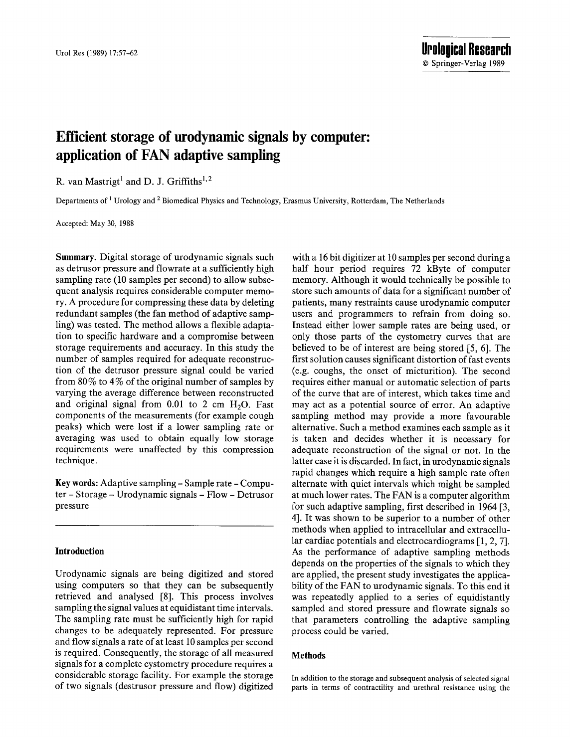© Springer-Verlag 1989

# Efficient storage of urodynamic signals by computer: application of FAN adaptive sampling **application of FAN adaptive sampling**

Departments of <sup>1</sup> Urology and <sup>2</sup> Biomedical Physics and Technology, Erasmus University, Rotterdam, The Netherlands

Accepted: May 30, 1988

Summary. Digital storage of urodynamic signals such as detrusor pressure and flowrate at a sufficiently high sampling rate (10 samples per second) to allow subsequent analysis requires considerable computer memory. A procedure for compressing these data by deleting redundant samples (the fan method of adaptive sampling) was tested. The method allows a flexible adaptation to specific hardware and a compromise between storage requirements and accuracy. In this study the number of samples required for adequate reconstruction of the detrusor pressure signal could be varied from 80% to 4% of the original number of samples by varying the average difference between reconstructed and original signal from  $0.01$  to 2 cm  $H<sub>2</sub>O$ . Fast components of the measurements (for example cough peaks) which were lost if a lower sampling rate or averaging was used to obtain equally low storage requirements were unaffected by this compression technique.

Key words: Adaptive sampling - Sample rate - Compu**ter – Storage – Urodynamic signals – Flow – Detrusor** pressure

## Introduction

Urodynamic signals are being digitized and stored using computers so that they can be subsequently retrieved and analysed [8]. This process involves sampling the signal values at equidistant time intervals. The sampling rate must be sufficiently high for rapid changes to be adequately represented. For pressure and flow signals a rate of at least 10 samples per second is required. Consequently, the storage of all measured signals for a complete cystometry procedure requires a considerable storage facility. For example the storage of two signals (destrusor pressure and flow) digitized

with a 16 bit digitizer at 10 samples per second during a half hour period requires 72 kByte of computer memory. Although it would technically be possible to store such amounts of data for a significant number of patients, many restraints cause urodynamic computer users and programmers to refrain from doing so. Instead either lower sample rates are being used, or only those parts of the cystometry curves that are believed to be of interest are being stored  $[5, 6]$ . The first solution causes significant distortion of fast events (e.g. coughs, the onset of micturition). The second requires either manual or automatic selection of parts of the curve that are of interest, which takes time and may act as a potential source of error. An adaptive sampling method may provide a more favourable alternative. Such a method examines each sample as it is taken and decides whether it is necessary for adequate reconstruction of the signal or not. In the latter case it is discarded. In fact, in urodynamic signals rapid changes which require a high sample rate often alternate with quiet intervals which might be sampled at much lower rates. The FAN is a computer algorithm for such adaptive sampling, first described in  $1964$  [3, 4]. It was shown to be superior to a number of other methods when applied to intracellular and extracellular cardiac potentials and electrocardiograms  $[1, 2, 7]$ . As the performance of adaptive sampling methods depends on the properties of the signals to which they are applied, the present study investigates the applicability of the FAN to urodynamic signals. To this end it was repeatedly applied to a series of equidistantly sampled and stored pressure and flowrate signals so that parameters controlling the adaptive sampling process could be varied.

## **Methods**

In addition to the storage and subsequent analysis of selected signal parts in terms of contractility and urethral resistance using the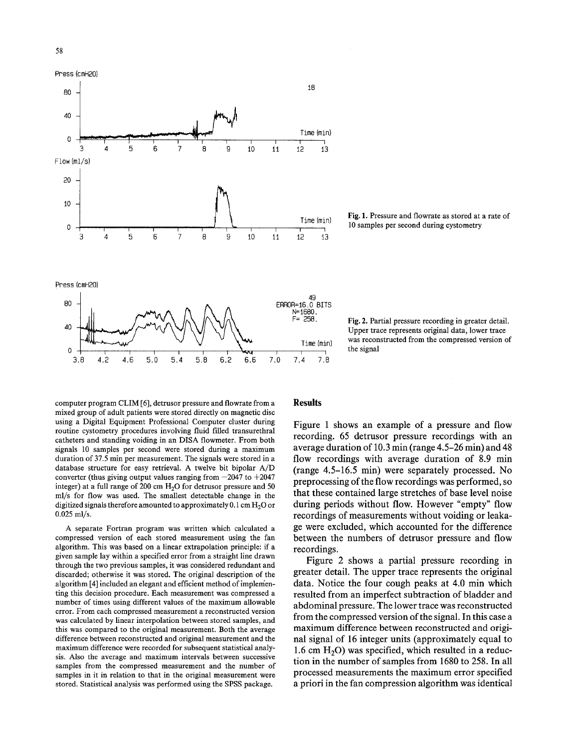



Time (min) Fig. 1. Pressure and flowrate as stored at a rate of 10 samples per second during cystometry



Fig. 2. Partial pressure recording in greater detail. Upper trace represents original data, lower trace was reconstructed from the compressed version of the signal

computer program CLIM [6], detrusor pressure and flowrate from a mixed group of adult patients were stored directly on magnetic disc using a Digital Equipment Professional Computer cluster during routine cystometry procedures involving fluid filled transurethral catheters and standing voiding in an DISA flowmeter. From both signals 10 samples per second were stored during a maximum duration of 37.5 min per measurement. The signals were stored in a database structure for easy retrieval. A twelve bit bipolar A/D converter (thus giving output values ranging from  $-2047$  to  $+2047$ integer) at a full range of 200 cm  $H<sub>2</sub>O$  for detrusor pressure and 50 ml/s for flow was used. The smallest detectable change in the digitized signals therefore amounted to approximately  $0.1 \text{ cm H}_2\text{O}$  or 0.025 ml/s.

A separate Fortran program was written which calculated a compressed version of each stored measurement using the fan algorithm. This was based on a linear extrapolation principle: if a given sample lay within a specified error from a straight line drawn through the two previous samples, it was considered redundant and discarded; otherwise it was stored. The original description of the algorithm [4] included an elegant and efficient method of implementing this decision procedure. Each measurement was compressed a number of times using different values of the maximum allowable error. From each compressed measurement a reconstructed version was calculated by linear interpolation between stored samples, and this was compared to the original measurement. Both the average difference between reconstructed and original measurement and the maximum difference were recorded for subsequent statistical analysis. Also the average and maximum intervals between successive samples from the compressed measurement and the number of samples in it in relation to that in the original measurement were stored. Statistical analysis was performed using the SPSS package.

#### **Results**

**Figure 1 shows an example of a pressure and flow recording. 65 detrusor pressure recordings with an average duration of 10.3 min (range 4.5-26 min) and 48 flow recordings with average duration of 8.9 min (range 4.5-16.5 rain) were separately processed. No preprocessing of the flow recordings was performed, so that these contained large stretches of base level noise during periods without flow. However "empty" flow recordings of measurements without voiding or leakage were excluded, which accounted for the difference between the numbers of detrusor pressure and flow recordings.** 

**Figure 2 shows a partial pressure recording in greater detail. The upper trace represents the original data. Notice the four cough peaks at 4.0 min which resulted from an imperfect subtraction of bladder and abdominal pressure. The lower trace was reconstructed from the compressed version of the signal. In this case a maximum difference between reconstructed and original signal of 16 integer units (approximately equal to**  1.6 cm H<sub>2</sub>O) was specified, which resulted in a reduc**tion in the number of samples from 1680 to 258. In all processed measurements the maximum error specified a priori in the fan compression algorithm was identical**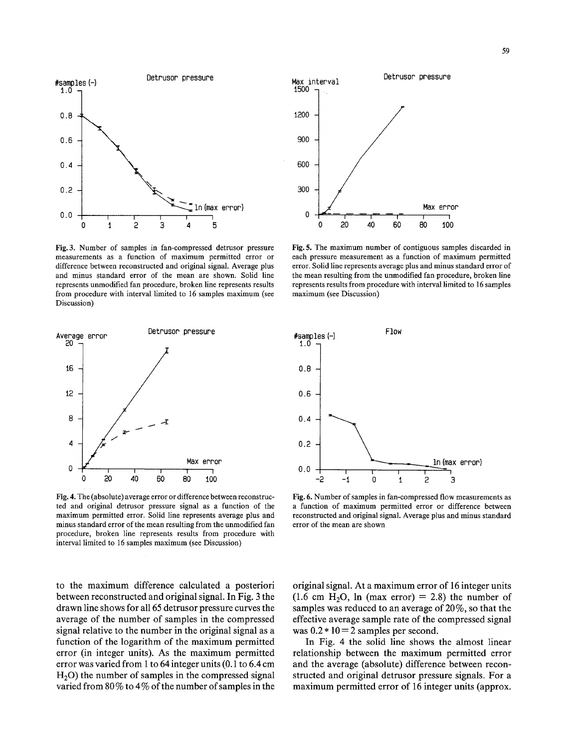

Fig. 3. Number of samples in fan-compressed detrusor pressure measurements as a function of maximum permitted error or difference between reconstructed and original signal. Average plus and minus standard error of the mean are shown. Solid line represents unmodified fan procedure, broken line represents results from procedure with interval limited to 16 samples maximum (see Discussion)



Fig. 4. The (absolute) average error or difference between reconstructed and original detrusor pressure signal as a function of the maximum permitted error. Solid line represents average plus and minus standard error of the mean resulting from the unmodified fan procedure, broken line represents results from procedure with interval limited to 16 samples maximum (see Discussion)

to the maximum difference calculated a posteriori between reconstructed and original signal. In Fig. 3 the drawn line shows for all 65 detrusor pressure curves the average of the number of samples in the compressed signal relative to the number in the original signal as a function of the logarithm of the maximum permitted error (in integer units). As the maximum permitted error was varied from 1 to 64 integer units (0.1 to 6.4 cm  $H<sub>2</sub>O$ ) the number of samples in the compressed signal varied from  $80\%$  to  $4\%$  of the number of samples in the



Fig. 5. The maximum number of contiguous samples discarded in each pressure measurement as a function of maximum permitted error. Solid line represents average plus and minus standard error of the mean resulting from the unmodified fan procedure, broken line represents results from procedure with interval limited to 16 samples maximum (see Discussion)



Fig. 6. Number of samples in fan-compressed flow measurements as a function of maximum permitted error or difference between reconstructed and original signal. Average plus and minus standard error of the mean are shown

original signal. At a maximum error of 16 integer units  $(1.6 \text{ cm } H<sub>2</sub>O, \text{ ln } (\text{max error}) = 2.8)$  the number of samples was reduced to an average of  $20\%$ , so that the effective average sample rate of the compressed signal was  $0.2 * 10 = 2$  samples per second.

In Fig. 4 the solid line shows the almost linear relationship between the maximum permitted error and the average (absolute) difference between reconstructed and original detrusor pressure signals. For a maximum permitted error of 16 integer units (approx.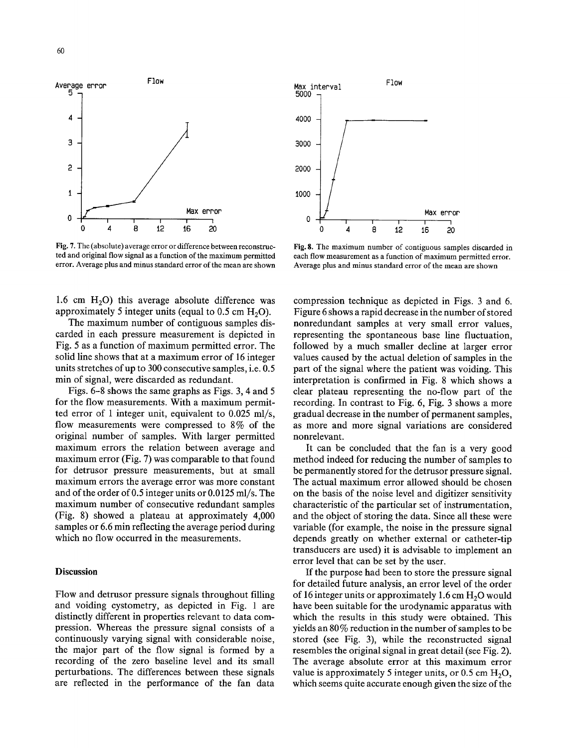

Fig. 7. The (absolute) average error or difference between reconstructed and original flow signal as a function of the maximum permitted error. Average plus and minus standard error of the mean are shown

1.6 cm  $H<sub>2</sub>O$ ) this average absolute difference was approximately 5 integer units (equal to  $0.5$  cm  $H<sub>2</sub>O$ ).

The maximum number of contiguous samples discarded in each pressure measurement is depicted in Fig. 5 as a function of maximum permitted error. The solid line shows that at a maximum error of 16 integer units stretches of up to 300 consecutive samples, i.e. 0.5 min of signal, were discarded as redundant.

Figs. 6-8 shows the same graphs as Figs. 3, 4 and 5 for the flow measurements. With a maximum permitted error of 1 integer unit, equivalent to 0.025 ml/s, flow measurements were compressed to 8% of the original number of samples. With larger permitted maximum errors the relation between average and maximum error (Fig. 7) was comparable to that found for detrusor pressure measurements, but at small maximum errors the average error was more constant and of the order of 0.5 integer units or 0.0125 ml/s. The maximum number of consecutive redundant samples (Fig. 8) showed a plateau at approximately 4,000 samples or 6.6 min reflecting the average period during which no flow occurred in the measurements.

## **Discussion**

Flow and detrusor pressure signals throughout filling and voiding cystometry, as depicted in Fig. 1 are distinctly different in properties relevant to data compression. Whereas the pressure signal consists of a continuously varying signal with considerable noise, the major part of the flow signal is formed by a recording of the zero baseline level and its small perturbations. The differences between these signals are reflected in the performance of the fan data



Fig. 8. The maximum number of contiguous samples discarded in each flow measurement as a function of maximum permitted error, Average plus and minus standard error of the mean are shown

compression technique as depicted in Figs. 3 and 6. Figure 6 shows a rapid decrease in the number of stored nonredundant samples at very small error values, representing the spontaneous base line fluctuation, followed by a much smaller decline at larger error values caused by the actual deletion of samples in the part of the signal where the patient was voiding. This interpretation is confirmed in Fig. 8 which shows a clear plateau representing the no-flow part of the recording. In contrast to Fig. 6, Fig. 3 shows a more gradual decrease in the number of permanent samples, as more and more signal variations are considered nonrelevant.

It can be concluded that the fan is a very good method indeed for reducing the number of samples to be permanently stored for the detrusor pressure signal. The actual maximum error allowed should be chosen on the basis of the noise level and digitizer sensitivity characteristic of the particular set of instrumentation, and the object of storing the data. Since all these were variable (for example, the noise in the pressure signal depends greatly on whether external or catheter-tip transducers are used) it is advisable to implement an error level that can be set by the user.

If the purpose had been to store the pressure signal for detailed future analysis, an error level of the order of 16 integer units or approximately 1.6 cm  $H<sub>2</sub>O$  would have been suitable for the urodynamic apparatus with which the results in this study were obtained. This yields an  $80\%$  reduction in the number of samples to be stored (see Fig. 3), while the reconstructed signal resembles the original signal in great detail (see Fig. 2). The average absolute error at this maximum error value is approximately 5 integer units, or  $0.5 \text{ cm H}_2\text{O}$ , which seems quite accurate enough given the size of the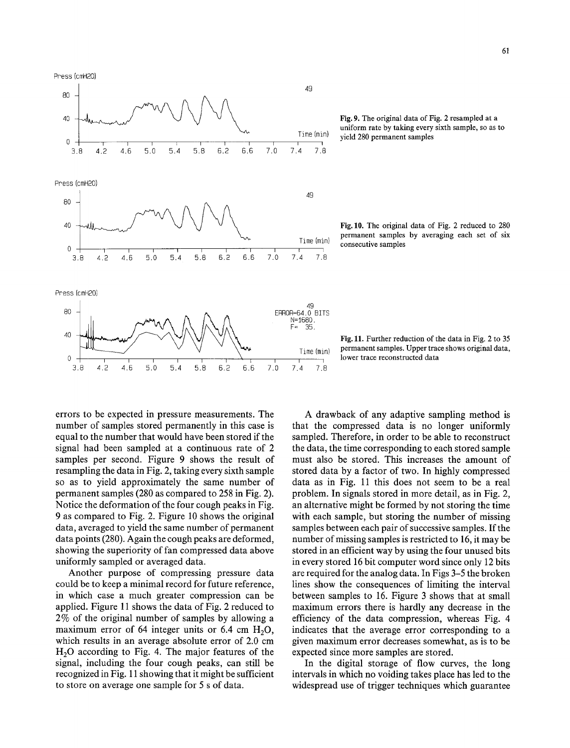Press (cmH20)



Fig. 10. The original data of Fig. 2 reduced to 280 permanent samples by averaging each set of six consecutive samples



Fig. 11. Further reduction of the data in Fig. 2 to 35 permanent samples. Upper trace shows original data, lower trace reconstructed data

errors to be expected in pressure measurements. The number of samples stored permanently in this case is equal to the number that would have been stored if the signal had been sampled at a continuous rate of 2 samples per second. Figure 9 shows the result of resampling the data in Fig. 2, taking every sixth sample so as to yield approximately the same number of permanent samples (280 as compared to 258 in Fig. 2). Notice the deformation of the four cough peaks in Fig. 9 as compared to Fig. 2. Figure 10 shows the original data, averaged to yield the same number of permanent data points (280). Again the cough peaks are deformed, showing the superiority of fan compressed data above uniformly sampled or averaged data.

Another purpose of compressing pressure data could be to keep a minimal record for future reference, in which case a much greater compression can be applied. Figure 11 shows the data of Fig. 2 reduced to 2% of the original number of samples by allowing a maximum error of 64 integer units or 6.4 cm  $H_2O$ , which results in an average absolute error of 2.0 cm  $H<sub>2</sub>O$  according to Fig. 4. The major features of the signal, including the four cough peaks, can still be recognized in Fig. 11 showing that it might be sufficient to store on average one sample for 5 s of data.

A drawback of any adaptive sampling method is that the compressed data is no longer uniformly sampled. Therefore, in order to be able to reconstruct the data, the time corresponding to each stored sample must also be stored. This increases the amount of stored data by a factor of two. In highly compressed data as in Fig. 11 this does not seem to be a real problem. In signals stored in more detail, as in Fig. 2, an alternative might be formed by not storing the time with each sample, but storing the number of missing samples between each pair of successive samples. If the number of missing samples is restricted to 16, it may be stored in an efficient way by using the four unused bits in every stored 16 bit computer word since only 12 bits are required for the analog data. In Figs 3-5 the broken lines show the consequences of limiting the interval between samples to 16. Figure 3 shows that at small maximum errors there is hardly any decrease in the efficiency of the data compression, whereas Fig. 4 indicates that the average error corresponding to a given maximum error decreases somewhat, as is to be expected since more samples are stored.

In the digital storage of flow curves, the long intervals in which no voiding takes place has led to the widespread use of trigger techniques which guarantee